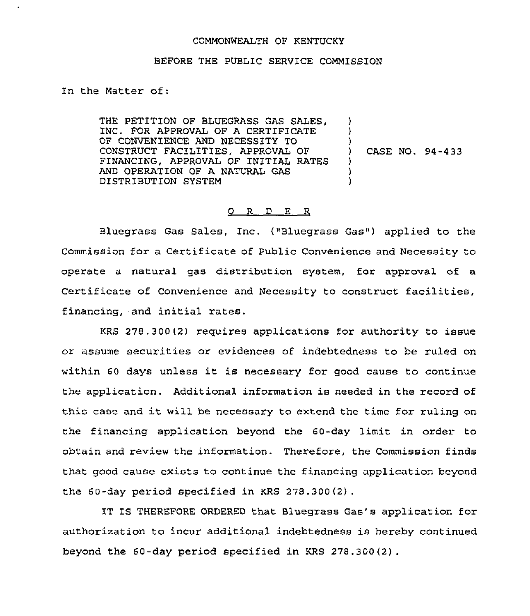## COMMONWEALTH OF KENTUCKY

## BEFORE THE PUBLIC SERVICE COMMISSION

In the Matter of:

THE PETITION OF BLUEGRASS GAS SALES, INC. FOR APPROVAL OF A CERTIFICATE OF CONVENIENCE AND NECESSITY TO CONSTRUCT FACILITIES, APPROVAL OF FINANCING, APPROVAL OF INITIAL RATES AND OPERATION OF A NATURAL GAS DISTRIBUTION SYSTEM ) ) ) ) CASE NO. 94-433 ) ) )

## 0 R <sup>D</sup> E R

Bluegrass Gas Sales, Inc, ("Bluegrass Gas") applied to the Commission for a Certificate of Public Convenience and Necessity to operate a natural gas distribution system, for approval of a Certificate of Convenience and Necessity to construct facilities, financing, and initial rates.

KRS 278.300(2) requires applications for authority to issue or assume securities or evidences of indebtedness to be ruled on within <sup>60</sup> days unless it is necessary for good cause to continue the application. Additional information is needed in the record of this case and it will be necessary to extend the time for ruling on the financing application beyond the 60-day limit in order to obtain and review the information. Therefore, the Commission finds that good cause exists to continue the financing application beyond the 60-day period specified in KRS 278.300{2).

IT IS THEREFORE ORDERED that Bluegrass Gas's application for authorization to incur additional indebtedness is hereby continued beyond the 60-day period specified in KRS 278.300(2) .